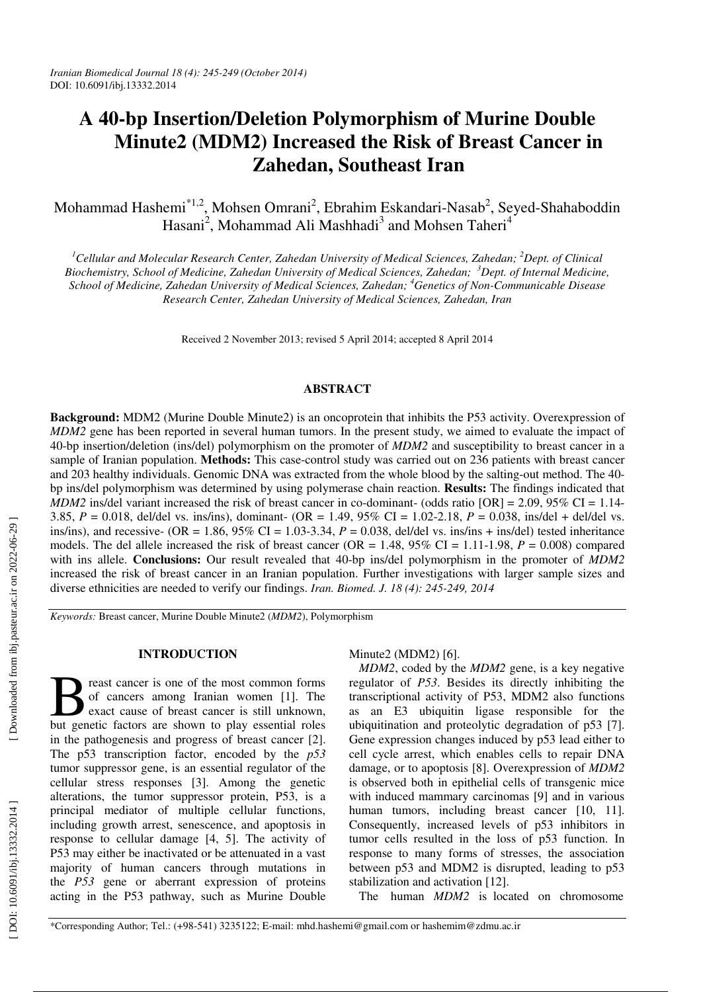# **A 40-bp Insertion/Deletion Polymorphism of Murine Double Minute2 (MDM2) Increased the Risk of Breast Cancer in Zahedan, Southeast Iran**

Mohammad Hashemi $\text{``1,2}, \text{Mohsen Omrani}^2, \text{Ebrahim Eskandari-Nasab}^2, \text{Seyed-Shahaboddin}$ Hasani<sup>2</sup>, Mohammad Ali Mashhadi<sup>3</sup> and Mohsen Taheri<sup>4</sup>

<sup>1</sup>Cellular and Molecular Research Center, Zahedan University of Medical Sciences, Zahedan; <sup>2</sup>Dept. of Clinical Biochemistry, School of Medicine, Zahedan University of Medical Sciences, Zahedan; <sup>3</sup>Dept. of Internal Medicine, *School of Medicine, Zahedan University of Medical Sciences, Zahedan; <sup>4</sup>Genetics of Non-Communicable Disease Research Center, Zahedan University of Medical Sciences, Zahedan, Iran* 

Received 2 November 2013; revised 5 April 2014; accepted 8 April 2014

## **ABSTRACT**

**Background:** MDM2 (Murine Double Minute2) is an oncoprotein that inhibits the P53 activity. Overexpression of *MDM2* gene has been reported in several human tumors. In the present study, we aimed to evaluate the impact of 40-bp insertion/deletion (ins/del) polymorphism on the promoter of *MDM2* and susceptibility to breast cancer in a sample of Iranian population. **Methods:** This case-control study was carried out on 236 patients with breast cancer and 203 healthy individuals. Genomic DNA was extracted from the whole blood by the salting-out method. The 40 bp ins/del polymorphism was determined by using polymerase chain reaction. **Results:** The findings indicated that *MDM2* ins/del variant increased the risk of breast cancer in co-dominant- (odds ratio [OR] = 2.09, 95% CI = 1.14-3.85, *P* = 0.018, del/del vs. ins/ins), dominant- (OR = 1.49, 95% CI = 1.02-2.18, *P* = 0.038, ins/del + del/del vs. ins/ins), and recessive-  $(OR = 1.86, 95\% \text{ CI} = 1.03-3.34, P = 0.038,$  del/del vs. ins/ins + ins/del) tested inheritance models. The del allele increased the risk of breast cancer ( $OR = 1.48$ ,  $95\%$  CI = 1.11-1.98,  $P = 0.008$ ) compared with ins allele. **Conclusions:** Our result revealed that 40-bp ins/del polymorphism in the promoter of *MDM2* increased the risk of breast cancer in an Iranian population. Further investigations with larger sample sizes and diverse ethnicities are needed to verify our findings. *Iran. Biomed. J. 18 (4): 245-249, 2014*

*Keywords:* Breast cancer, Murine Double Minute2 (*MDM2*), Polymorphism

#### **INTRODUCTION**

reast cancer is one of the most common forms of cancers among Iranian women [1]. The exact cause of breast cancer is still unknown, But genetic factors are of the most common forms of cancers among Iranian women [1]. The exact cause of breast cancer is still unknown, but genetic factors are shown to play essential roles in the pathogenesis and progress of breast cancer [2]. The p53 transcription factor, encoded by the *p53* tumor suppressor gene, is an essential regulator of the cellular stress responses [3]. Among the genetic alterations, the tumor suppressor protein, P53, is a principal mediator of multiple cellular functions, including growth arrest, senescence, and apoptosis in response to cellular damage [4, 5]. The activity of P53 may either be inactivated or be attenuated in a vast majority of human cancers through mutations in the *P53* gene or aberrant expression of proteins acting in the P53 pathway, such as Murine Double

Minute2 (MDM2) [6].

*MDM2* , coded by the *MDM2* gene, is a key negative regulator of *P53*. Besides its directly inhibiting the transcriptional activity of P53, MDM2 also functions as an E3 ubiquitin ligase responsible for the ubiquitination and proteolytic degradation of p53 [7]. Gene expression changes induced by p53 lead either to cell cycle arrest, which enables cells to repair DNA damage, or to apoptosis [8]. Overexpression of *MDM2* is observed both in epithelial cells of transgenic mice with induced mammary carcinomas [9] and in various human tumors, including breast cancer [10, 11]. Consequently, increased levels of p53 inhibitors in tumor cells resulted in the loss of p53 function. In response to many forms of stresses, the association between p53 and MDM2 is disrupted, leading to p53 stabilization and activation [12].

The human *MDM2* is located on chromosome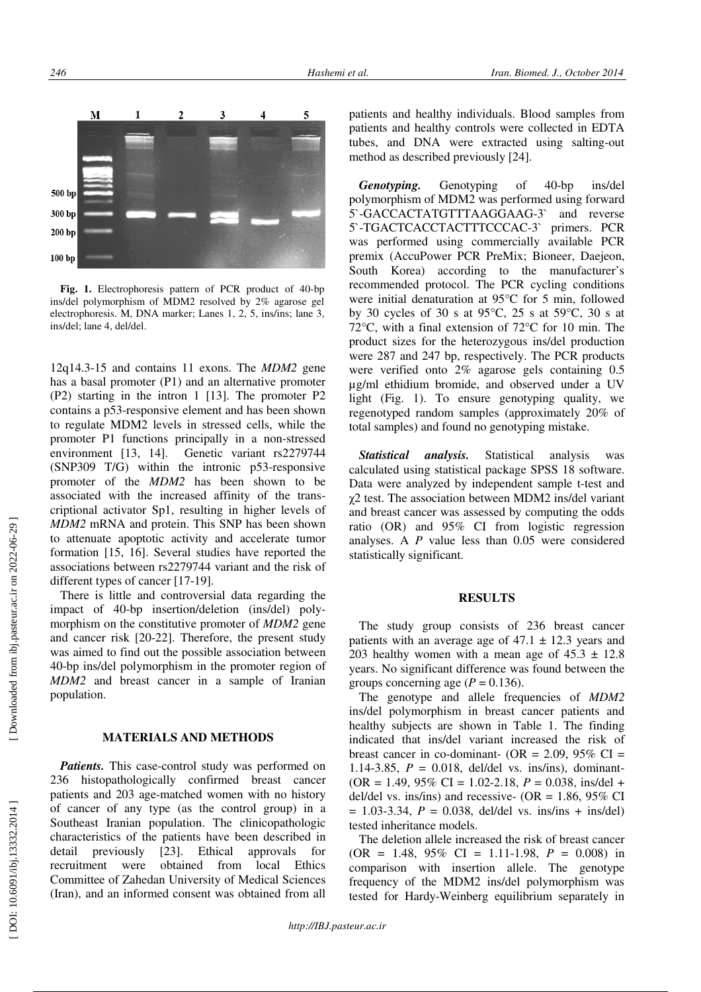

**Fig. 1.** Electrophoresis pattern of PCR product of 40-bp ins/del polymorphism of MDM2 resolved by 2% agarose gel electrophoresis. M, DNA marker; Lanes 1, 2, 5, ins/ins; lane 3, ins/del; lane 4, del/del.

12q14.3-15 and contains 11 exons. The *MDM2* gene has a basal promoter (P1) and an alternative promoter (P2) starting in the intron 1 [13]. The promoter P2 contains a p53-responsive element and has been shown to regulate MDM2 levels in stressed cells, while the promoter P1 functions principally in a non-stressed environment [13, 14]. Genetic variant rs2279744 (SNP309 T/G) within the intronic p53-responsive promoter of the *MDM2* has been shown to be associated with the increased affinity of the trans criptional activator Sp1, resulting in higher levels of *MDM2* mRNA and protein. This SNP has been shown to attenuate apoptotic activity and accelerate tumor formation [15, 16]. Several studies have reported the associations between rs2279744 variant and the risk of different types of cancer [17-19].

There is little and controversial data regarding the impact of 40-bp insertion/deletion (ins/del) polymorphism on the constitutive promoter of *MDM2* gene and cancer risk [20-22]. Therefore, the present study was aimed to find out the possible association between 40-bp ins/del polymorphism in the promoter region of *MDM2* and breast cancer in a sample of Iranian population.

## **MATERIALS AND METHODS**

*Patients*. This case-control study was performed on 236 histopathologically confirmed breast cancer patients and 203 age-matched women with no history of cancer of any type (as the control group) in a Southeast Iranian population. The clinicopathologic characteristics of the patients have been described in detail previously [23]. Ethical approvals for recruitment were obtained from local Ethics Committee of Zahedan University of Medical Sciences (Iran), and an informed consent was obtained from all

patients and healthy individuals. Blood samples from patients and healthy controls were collected in EDTA tubes, and DNA were extracted using salting-out method as described previously [24].

*Genotyping.* Genotyping of 40-bp ins/del polymorphism of MDM2 was performed using forward 5`-GACCACTATGTTTAAGGAAG-3` and reverse 5`-TGACTCACCTACTTTCCCAC-3` primers. PCR was performed using commercially available PCR premix (AccuPower PCR PreMix; Bioneer, Daejeon, South Korea) according to the manufacturer's recommended protocol. The PCR cycling conditions were initial denaturation at 95°C for 5 min, followed by 30 cycles of 30 s at 95°C, 25 s at 59°C, 30 s at 72°C, with a final extension of 72°C for 10 min. The product sizes for the heterozygous ins/del production were 287 and 247 bp, respectively. The PCR products were verified onto 2% agarose gels containing 0.5 µg/ml ethidium bromide, and observed under a UV light (Fig. 1). To ensure genotyping quality, we regenotyped random samples (approximately 20% of total samples) and found no genotyping mistake.

*Statistical analysis.* Statistical analysis was calculated using statistical package SPSS 18 software. Data were analyzed by independent sample t-test and χ2 test. The association between MDM2 ins/del variant and breast cancer was assessed by computing the odds ratio (OR) and 95% CI from logistic regression analyses. A *P* value less than 0.05 were considered statistically significant.

## **RESULTS**

The study group consists of 236 breast cancer patients with an average age of  $47.1 \pm 12.3$  years and 203 healthy women with a mean age of  $45.3 \pm 12.8$ years. No significant difference was found between the groups concerning age  $(P = 0.136)$ .

The genotype and allele frequencies of *MDM2* ins/del polymorphism in breast cancer patients and healthy subjects are shown in Table 1. The finding indicated that ins/del variant increased the risk of breast cancer in co-dominant- (OR =  $2.09$ ,  $95\%$  CI = 1.14-3.85,  $P = 0.018$ , del/del vs. ins/ins), dominant-(OR = 1.49, 95% CI = 1.02-2.18, *P* = 0.038, ins/del + del/del vs. ins/ins) and recessive- (OR =  $1.86$ ,  $95\%$  CI  $= 1.03 - 3.34$ ,  $P = 0.038$ , del/del vs. ins/ins + ins/del) tested inheritance models.

The deletion allele increased the risk of breast cancer  $(OR = 1.48, 95\% \text{ CI} = 1.11 - 1.98, P = 0.008) \text{ in}$ comparison with insertion allele. The genotype frequency of the MDM2 ins/del polymorphism was tested for Hardy-Weinberg equilibrium separately in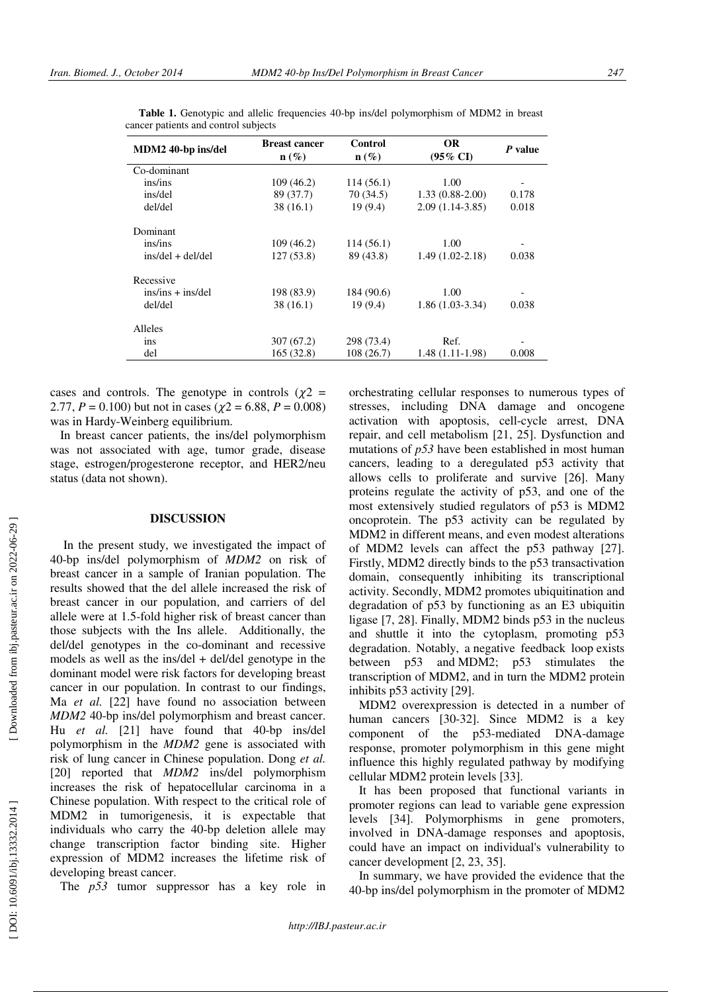| MDM2 40-bp ins/del                       | <b>Breast cancer</b><br>$\mathbf{n}(\%)$ | Control<br>$n(\%)$ | <b>OR</b><br>$(95\% \text{ CI})$ | P value |
|------------------------------------------|------------------------------------------|--------------------|----------------------------------|---------|
| Co-dominant                              |                                          |                    |                                  |         |
| ins/ins                                  | 109 (46.2)                               | 114 (56.1)         | 1.00                             |         |
| ins/del                                  | 89 (37.7)                                | 70 (34.5)          | $1.33(0.88-2.00)$                | 0.178   |
| del/del                                  | 38(16.1)                                 | 19(9.4)            | $2.09(1.14-3.85)$                | 0.018   |
| Dominant                                 |                                          |                    |                                  |         |
| ins/ins                                  | 109(46.2)                                | 114 (56.1)         | 1.00                             |         |
| $ins/\text{del} + \text{del}/\text{del}$ | 127(53.8)                                | 89 (43.8)          | $1.49(1.02-2.18)$                | 0.038   |
| Recessive                                |                                          |                    |                                  |         |
| $ins/ins + ins/del$                      | 198 (83.9)                               | 184 (90.6)         | 1.00                             |         |
| del/del                                  | 38(16.1)                                 | 19(9.4)            | $1.86(1.03-3.34)$                | 0.038   |
| Alleles                                  |                                          |                    |                                  |         |
| ins                                      | 307 (67.2)                               | 298 (73.4)         | Ref.                             |         |
| del                                      | 165(32.8)                                | 108(26.7)          | $1.48(1.11-1.98)$                | 0.008   |
|                                          |                                          |                    |                                  |         |

 **Table 1.** Genotypic and allelic frequencies 40-bp ins/del polymorphism of MDM2 in breast cancer patients and control subjects

cases and controls. The genotype in controls  $(\chi^2$  = 2.77,  $P = 0.100$  but not in cases ( $\chi$ 2 = 6.88,  $P = 0.008$ ) was in Hardy-Weinberg equilibrium.

In breast cancer patients, the ins/del polymorphism was not associated with age, tumor grade, disease stage, estrogen/progesterone receptor, and HER2/neu status (data not shown).

#### **DISCUSSION**

 In the present study, we investigated the impact of 40-bp ins/del polymorphism of *MDM2* on risk of breast cancer in a sample of Iranian population. The results showed that the del allele increased the risk of breast cancer in our population, and carriers of del allele were at 1.5-fold higher risk of breast cancer than those subjects with the Ins allele. Additionally, the del/del genotypes in the co-dominant and recessive models as well as the ins/del + del/del genotype in the dominant model were risk factors for developing breast cancer in our population. In contrast to our findings, Ma *et al.* [22] have found no association between *MDM2* 40-bp ins/del polymorphism and breast cancer. Hu *et al.* [21] have found that 40-bp ins/del polymorphism in the *MDM2* gene is associated with risk of lung cancer in Chinese population. Dong *et al.* [20] reported that *MDM2* ins/del polymorphism increases the risk of hepatocellular carcinoma in a Chinese population. With respect to the critical role of MDM2 in tumorigenesis, it is expectable that individuals who carry the 40-bp deletion allele may change transcription factor binding site. Higher expression of MDM2 increases the lifetime risk of developing breast cancer.

The *p53* tumor suppressor has a key role in

orchestrating cellular responses to numerous types of stresses, including DNA damage and oncogene activation with apoptosis, cell-cycle arrest, DNA repair, and cell metabolism [21, 25]. Dysfunction and mutations of *p53* have been established in most human cancers, leading to a deregulated p53 activity that allows cells to proliferate and survive [26]. Many proteins regulate the activity of p53, and one of the most extensively studied regulators of p53 is MDM2 oncoprotein. The p53 activity can be regulated by MDM2 in different means, and even modest alterations of MDM2 levels can affect the p53 pathway [27]. Firstly, MDM2 directly binds to the p53 transactivation domain, consequently inhibiting its transcriptional activity. Secondly, MDM2 promotes ubiquitination and degradation of p53 by functioning as an E3 ubiquitin ligase [7, 28]. Finally, MDM2 binds p53 in the nucleus and shuttle it into the cytoplasm, promoting p53 degradation. Notably, a negative feedback loop exists between p53 and MDM2; p53 stimulates the transcription of MDM2, and in turn the MDM2 protein inhibits p53 activity [29].

MDM2 overexpression is detected in a number of human cancers [30-32]. Since MDM2 is a key component of the p53-mediated DNA-damage response, promoter polymorphism in this gene might influence this highly regulated pathway by modifying cellular MDM2 protein levels [33].

It has been proposed that functional variants in promoter regions can lead to variable gene expression levels [34]. Polymorphisms in gene promoters, involved in DNA-damage responses and apoptosis, could have an impact on individual's vulnerability to cancer development [2, 23, 35].

In summary, we have provided the evidence that the 40-bp ins/del polymorphism in the promoter of MDM2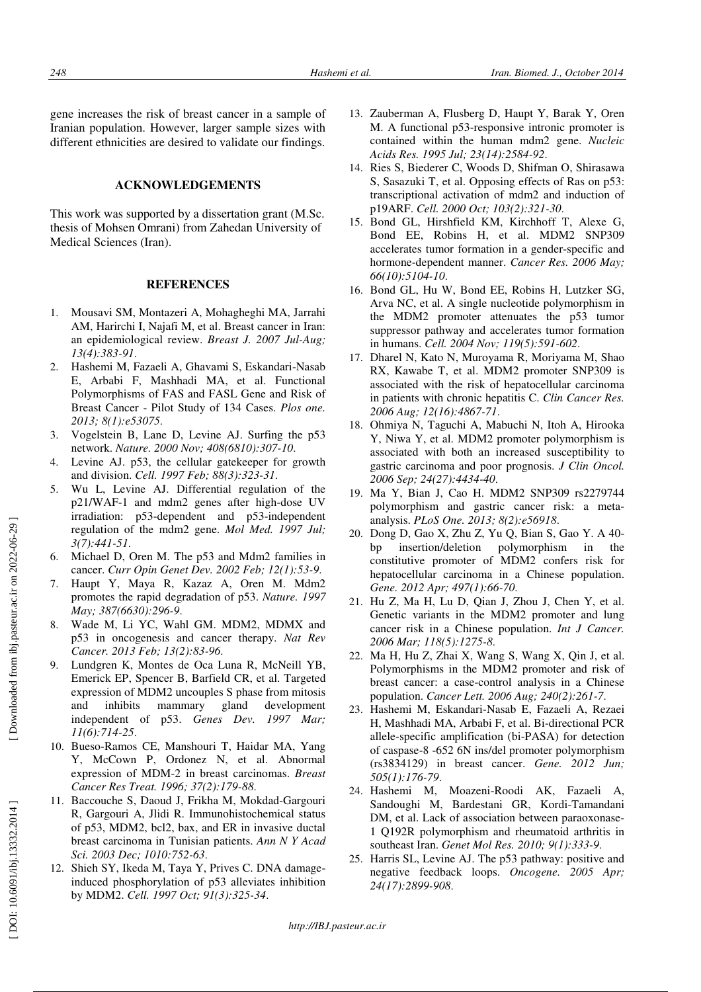gene increases the risk of breast cancer in a sample of Iranian population. However, larger sample sizes with different ethnicities are desired to validate our findings.

#### **ACKNOWLEDGEMENTS**

This work was supported by a dissertation grant (M.Sc. thesis of Mohsen Omrani) from Zahedan University of Medical Sciences (Iran).

### **REFERENCES**

- 1. Mousavi SM, Montazeri A, Mohagheghi MA, Jarrahi AM, Harirchi I, Najafi M, et al. Breast cancer in Iran: an epidemiological review. *Breast J. 2007 Jul-Aug; 13(4):383-91*.
- 2. Hashemi M, Fazaeli A, Ghavami S, Eskandari-Nasab E, Arbabi F, Mashhadi MA, et al. Functional Polymorphisms of FAS and FASL Gene and Risk of Breast Cancer - Pilot Study of 134 Cases. *Plos one. 2013; 8(1):e53075*.
- 3. Vogelstein B, Lane D, Levine AJ. Surfing the p53 network. *Nature. 2000 Nov; 408(6810):307-10*.
- 4. Levine AJ. p53, the cellular gatekeeper for growth and division. *Cell. 1997 Feb; 88(3):323-31*.
- 5. Wu L, Levine AJ. Differential regulation of the p21/WAF-1 and mdm2 genes after high-dose UV irradiation: p53-dependent and p53-independent regulation of the mdm2 gene. *Mol Med. 1997 Jul; 3(7):441-51*.
- 6. Michael D, Oren M. The p53 and Mdm2 families in cancer. *Curr Opin Genet Dev. 2002 Feb; 12(1):53-9*.
- 7. Haupt Y, Maya R, Kazaz A, Oren M. Mdm2 promotes the rapid degradation of p53. *Nature. 1997 May; 387(6630):296-9*.
- Wade M, Li YC, Wahl GM. MDM2, MDMX and p53 in oncogenesis and cancer therapy. *Nat Rev Cancer. 2013 Feb; 13(2):83-96*.
- 9. Lundgren K, Montes de Oca Luna R, McNeill YB, Emerick EP, Spencer B, Barfield CR, et al. Targeted expression of MDM2 uncouples S phase from mitosis and inhibits mammary gland development independent of p53. *Genes Dev. 1997 Mar; 11(6):714-25*.
- 10. Bueso-Ramos CE, Manshouri T, Haidar MA, Yang Y, McCown P, Ordonez N, et al. Abnormal expression of MDM-2 in breast carcinomas. *Breast Cancer Res Treat. 1996; 37(2):179-88*.
- 11. Baccouche S, Daoud J, Frikha M, Mokdad-Gargouri R, Gargouri A, Jlidi R. Immunohistochemical status of p53, MDM2, bcl2, bax, and ER in invasive ductal breast carcinoma in Tunisian patients. *Ann N Y Acad Sci. 2003 Dec; 1010:752-63*.
- 12. Shieh SY, Ikeda M, Taya Y, Prives C. DNA damageinduced phosphorylation of p53 alleviates inhibition by MDM2. *Cell. 1997 Oct; 91(3):325-34*.
- 13. Zauberman A, Flusberg D, Haupt Y, Barak Y, Oren M. A functional p53-responsive intronic promoter is contained within the human mdm2 gene. *Nucleic Acids Res. 1995 Jul; 23(14):2584-92*.
- 14. Ries S, Biederer C, Woods D, Shifman O, Shirasawa S, Sasazuki T, et al. Opposing effects of Ras on p53: transcriptional activation of mdm2 and induction of p19ARF. *Cell. 2000 Oct; 103(2):321-30*.
- 15. Bond GL, Hirshfield KM, Kirchhoff T, Alexe G, Bond EE, Robins H, et al. MDM2 SNP309 accelerates tumor formation in a gender-specific and hormone-dependent manner. *Cancer Res. 2006 May; 66(10):5104-10*.
- 16. Bond GL, Hu W, Bond EE, Robins H, Lutzker SG, Arva NC, et al. A single nucleotide polymorphism in the MDM2 promoter attenuates the p53 tumor suppressor pathway and accelerates tumor formation in humans. *Cell. 2004 Nov; 119(5):591-602*.
- 17. Dharel N, Kato N, Muroyama R, Moriyama M, Shao RX, Kawabe T, et al. MDM2 promoter SNP309 is associated with the risk of hepatocellular carcinoma in patients with chronic hepatitis C. *Clin Cancer Res. 2006 Aug; 12(16):4867-71*.
- 18. Ohmiya N, Taguchi A, Mabuchi N, Itoh A, Hirooka Y, Niwa Y, et al. MDM2 promoter polymorphism is associated with both an increased susceptibility to gastric carcinoma and poor prognosis. *J Clin Oncol. 2006 Sep; 24(27):4434-40*.
- 19. Ma Y, Bian J, Cao H. MDM2 SNP309 rs2279744 polymorphism and gastric cancer risk: a metaanalysis. *PLoS One. 2013; 8(2):e56918*.
- 20. Dong D, Gao X, Zhu Z, Yu Q, Bian S, Gao Y. A 40 bp insertion/deletion polymorphism in the constitutive promoter of MDM2 confers risk for hepatocellular carcinoma in a Chinese population. *Gene. 2012 Apr; 497(1):66-70*.
- 21. Hu Z, Ma H, Lu D, Qian J, Zhou J, Chen Y, et al. Genetic variants in the MDM2 promoter and lung cancer risk in a Chinese population. *Int J Cancer. 2006 Mar; 118(5):1275-8*.
- 22. Ma H, Hu Z, Zhai X, Wang S, Wang X, Qin J, et al. Polymorphisms in the MDM2 promoter and risk of breast cancer: a case-control analysis in a Chinese population. *Cancer Lett. 2006 Aug; 240(2):261-7*.
- 23. Hashemi M, Eskandari-Nasab E, Fazaeli A, Rezaei H, Mashhadi MA, Arbabi F, et al. Bi-directional PCR allele-specific amplification (bi-PASA) for detection of caspase-8 -652 6N ins/del promoter polymorphism (rs3834129) in breast cancer. *Gene. 2012 Jun; 505(1):176-79*.
- 24. Hashemi M, Moazeni-Roodi AK, Fazaeli A, Sandoughi M, Bardestani GR, Kordi-Tamandani DM, et al. Lack of association between paraoxonase-1 Q192R polymorphism and rheumatoid arthritis in southeast Iran. *Genet Mol Res. 2010; 9(1):333-9*.
- 25. Harris SL, Levine AJ. The p53 pathway: positive and negative feedback loops. *Oncogene. 2005 Apr; 24(17):2899-908*.